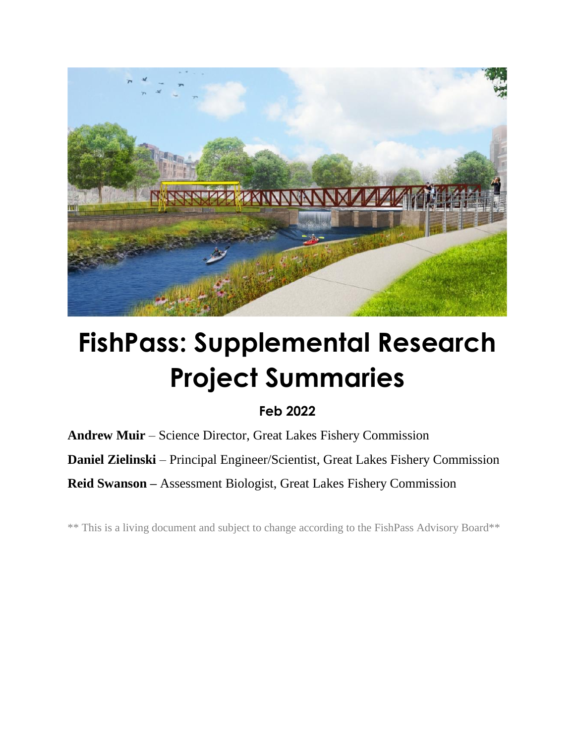

## **FishPass: Supplemental Research Project Summaries**

## **Feb 2022**

**Andrew Muir** – Science Director, Great Lakes Fishery Commission

**Daniel Zielinski** – Principal Engineer/Scientist, Great Lakes Fishery Commission

**Reid Swanson –** Assessment Biologist, Great Lakes Fishery Commission

\*\* This is a living document and subject to change according to the FishPass Advisory Board\*\*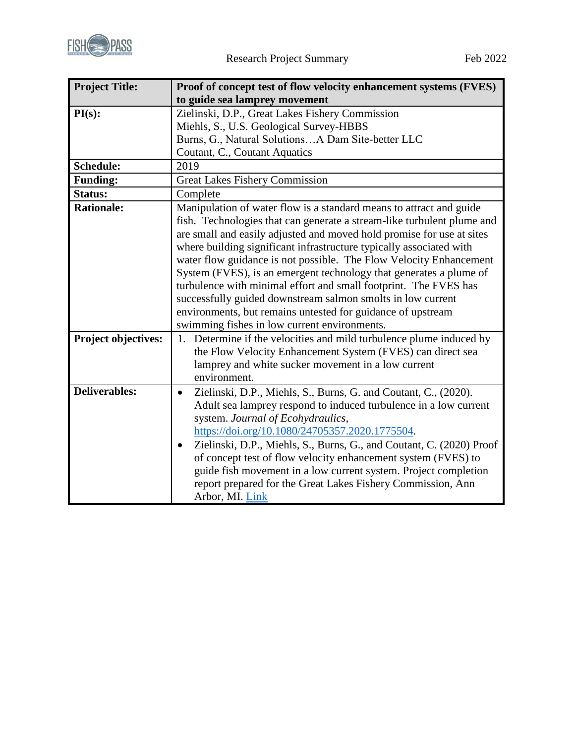

| <b>Project Title:</b> | Proof of concept test of flow velocity enhancement systems (FVES)                                                                                                                                                                                                                                                                                                                                                                                                                                                                                                                                                                                                                           |
|-----------------------|---------------------------------------------------------------------------------------------------------------------------------------------------------------------------------------------------------------------------------------------------------------------------------------------------------------------------------------------------------------------------------------------------------------------------------------------------------------------------------------------------------------------------------------------------------------------------------------------------------------------------------------------------------------------------------------------|
|                       | to guide sea lamprey movement                                                                                                                                                                                                                                                                                                                                                                                                                                                                                                                                                                                                                                                               |
| PI(s):                | Zielinski, D.P., Great Lakes Fishery Commission                                                                                                                                                                                                                                                                                                                                                                                                                                                                                                                                                                                                                                             |
|                       | Miehls, S., U.S. Geological Survey-HBBS                                                                                                                                                                                                                                                                                                                                                                                                                                                                                                                                                                                                                                                     |
|                       | Burns, G., Natural SolutionsA Dam Site-better LLC                                                                                                                                                                                                                                                                                                                                                                                                                                                                                                                                                                                                                                           |
|                       | Coutant, C., Coutant Aquatics                                                                                                                                                                                                                                                                                                                                                                                                                                                                                                                                                                                                                                                               |
| <b>Schedule:</b>      | 2019                                                                                                                                                                                                                                                                                                                                                                                                                                                                                                                                                                                                                                                                                        |
| <b>Funding:</b>       | <b>Great Lakes Fishery Commission</b>                                                                                                                                                                                                                                                                                                                                                                                                                                                                                                                                                                                                                                                       |
| Status:               | Complete                                                                                                                                                                                                                                                                                                                                                                                                                                                                                                                                                                                                                                                                                    |
| <b>Rationale:</b>     | Manipulation of water flow is a standard means to attract and guide<br>fish. Technologies that can generate a stream-like turbulent plume and<br>are small and easily adjusted and moved hold promise for use at sites<br>where building significant infrastructure typically associated with<br>water flow guidance is not possible. The Flow Velocity Enhancement<br>System (FVES), is an emergent technology that generates a plume of<br>turbulence with minimal effort and small footprint. The FVES has<br>successfully guided downstream salmon smolts in low current<br>environments, but remains untested for guidance of upstream<br>swimming fishes in low current environments. |
| Project objectives:   | 1. Determine if the velocities and mild turbulence plume induced by<br>the Flow Velocity Enhancement System (FVES) can direct sea<br>lamprey and white sucker movement in a low current<br>environment.                                                                                                                                                                                                                                                                                                                                                                                                                                                                                     |
| <b>Deliverables:</b>  | Zielinski, D.P., Miehls, S., Burns, G. and Coutant, C., (2020).<br>$\bullet$<br>Adult sea lamprey respond to induced turbulence in a low current<br>system. Journal of Ecohydraulics,<br>https://doi.org/10.1080/24705357.2020.1775504.<br>Zielinski, D.P., Miehls, S., Burns, G., and Coutant, C. (2020) Proof<br>$\bullet$<br>of concept test of flow velocity enhancement system (FVES) to<br>guide fish movement in a low current system. Project completion<br>report prepared for the Great Lakes Fishery Commission, Ann<br>Arbor, MI. Link                                                                                                                                          |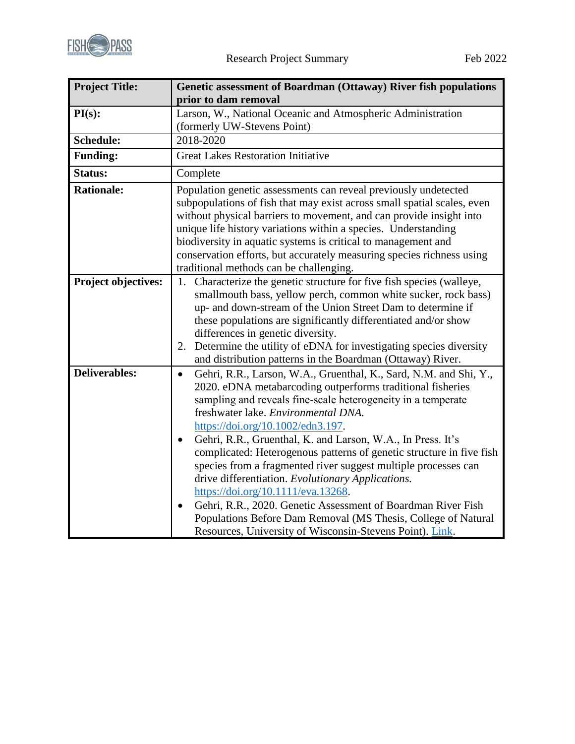

| <b>Project Title:</b> | Genetic assessment of Boardman (Ottaway) River fish populations<br>prior to dam removal                                                                                                                                                                                                                                                                                                                                                                                                                                                                                                                                                                                                                                                                                                                |
|-----------------------|--------------------------------------------------------------------------------------------------------------------------------------------------------------------------------------------------------------------------------------------------------------------------------------------------------------------------------------------------------------------------------------------------------------------------------------------------------------------------------------------------------------------------------------------------------------------------------------------------------------------------------------------------------------------------------------------------------------------------------------------------------------------------------------------------------|
| PI(s):                | Larson, W., National Oceanic and Atmospheric Administration<br>(formerly UW-Stevens Point)                                                                                                                                                                                                                                                                                                                                                                                                                                                                                                                                                                                                                                                                                                             |
| <b>Schedule:</b>      | 2018-2020                                                                                                                                                                                                                                                                                                                                                                                                                                                                                                                                                                                                                                                                                                                                                                                              |
| <b>Funding:</b>       | <b>Great Lakes Restoration Initiative</b>                                                                                                                                                                                                                                                                                                                                                                                                                                                                                                                                                                                                                                                                                                                                                              |
| <b>Status:</b>        | Complete                                                                                                                                                                                                                                                                                                                                                                                                                                                                                                                                                                                                                                                                                                                                                                                               |
| <b>Rationale:</b>     | Population genetic assessments can reveal previously undetected<br>subpopulations of fish that may exist across small spatial scales, even<br>without physical barriers to movement, and can provide insight into<br>unique life history variations within a species. Understanding<br>biodiversity in aquatic systems is critical to management and<br>conservation efforts, but accurately measuring species richness using<br>traditional methods can be challenging.                                                                                                                                                                                                                                                                                                                               |
| Project objectives:   | Characterize the genetic structure for five fish species (walleye,<br>1.<br>smallmouth bass, yellow perch, common white sucker, rock bass)<br>up- and down-stream of the Union Street Dam to determine if<br>these populations are significantly differentiated and/or show<br>differences in genetic diversity.<br>2. Determine the utility of eDNA for investigating species diversity<br>and distribution patterns in the Boardman (Ottaway) River.                                                                                                                                                                                                                                                                                                                                                 |
| <b>Deliverables:</b>  | Gehri, R.R., Larson, W.A., Gruenthal, K., Sard, N.M. and Shi, Y.,<br>$\bullet$<br>2020. eDNA metabarcoding outperforms traditional fisheries<br>sampling and reveals fine-scale heterogeneity in a temperate<br>freshwater lake. Environmental DNA.<br>https://doi.org/10.1002/edn3.197.<br>Gehri, R.R., Gruenthal, K. and Larson, W.A., In Press. It's<br>complicated: Heterogenous patterns of genetic structure in five fish<br>species from a fragmented river suggest multiple processes can<br>drive differentiation. Evolutionary Applications.<br>https://doi.org/10.1111/eva.13268.<br>Gehri, R.R., 2020. Genetic Assessment of Boardman River Fish<br>$\bullet$<br>Populations Before Dam Removal (MS Thesis, College of Natural<br>Resources, University of Wisconsin-Stevens Point). Link. |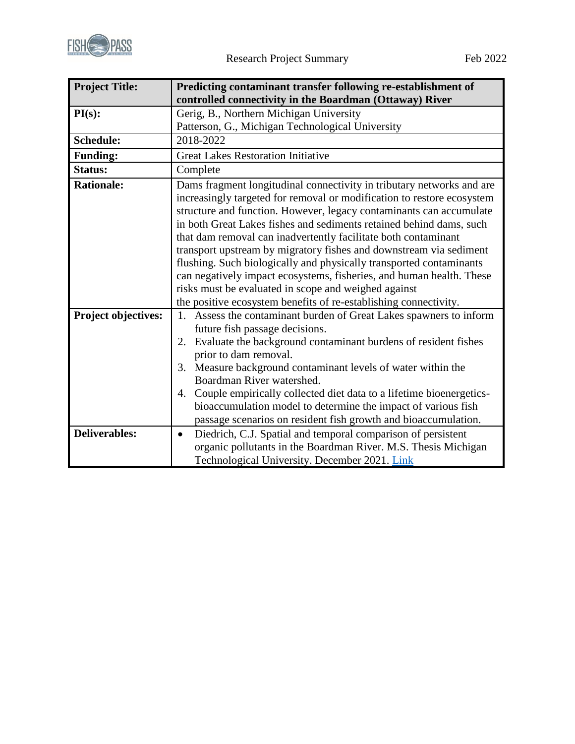

| <b>Project Title:</b> | Predicting contaminant transfer following re-establishment of<br>controlled connectivity in the Boardman (Ottaway) River                                                                                                                                                                                                                                                                                                                                                                                                                                                                                                                                                                                         |
|-----------------------|------------------------------------------------------------------------------------------------------------------------------------------------------------------------------------------------------------------------------------------------------------------------------------------------------------------------------------------------------------------------------------------------------------------------------------------------------------------------------------------------------------------------------------------------------------------------------------------------------------------------------------------------------------------------------------------------------------------|
| PI(s):                | Gerig, B., Northern Michigan University                                                                                                                                                                                                                                                                                                                                                                                                                                                                                                                                                                                                                                                                          |
|                       | Patterson, G., Michigan Technological University                                                                                                                                                                                                                                                                                                                                                                                                                                                                                                                                                                                                                                                                 |
| <b>Schedule:</b>      | 2018-2022                                                                                                                                                                                                                                                                                                                                                                                                                                                                                                                                                                                                                                                                                                        |
| <b>Funding:</b>       | <b>Great Lakes Restoration Initiative</b>                                                                                                                                                                                                                                                                                                                                                                                                                                                                                                                                                                                                                                                                        |
| Status:               | Complete                                                                                                                                                                                                                                                                                                                                                                                                                                                                                                                                                                                                                                                                                                         |
| <b>Rationale:</b>     | Dams fragment longitudinal connectivity in tributary networks and are<br>increasingly targeted for removal or modification to restore ecosystem<br>structure and function. However, legacy contaminants can accumulate<br>in both Great Lakes fishes and sediments retained behind dams, such<br>that dam removal can inadvertently facilitate both contaminant<br>transport upstream by migratory fishes and downstream via sediment<br>flushing. Such biologically and physically transported contaminants<br>can negatively impact ecosystems, fisheries, and human health. These<br>risks must be evaluated in scope and weighed against<br>the positive ecosystem benefits of re-establishing connectivity. |
| Project objectives:   | 1. Assess the contaminant burden of Great Lakes spawners to inform<br>future fish passage decisions.<br>Evaluate the background contaminant burdens of resident fishes<br>2.<br>prior to dam removal.<br>3. Measure background contaminant levels of water within the<br>Boardman River watershed.<br>Couple empirically collected diet data to a lifetime bioenergetics-<br>4.<br>bioaccumulation model to determine the impact of various fish<br>passage scenarios on resident fish growth and bioaccumulation.                                                                                                                                                                                               |
| <b>Deliverables:</b>  | Diedrich, C.J. Spatial and temporal comparison of persistent<br>$\bullet$<br>organic pollutants in the Boardman River. M.S. Thesis Michigan<br>Technological University. December 2021. Link                                                                                                                                                                                                                                                                                                                                                                                                                                                                                                                     |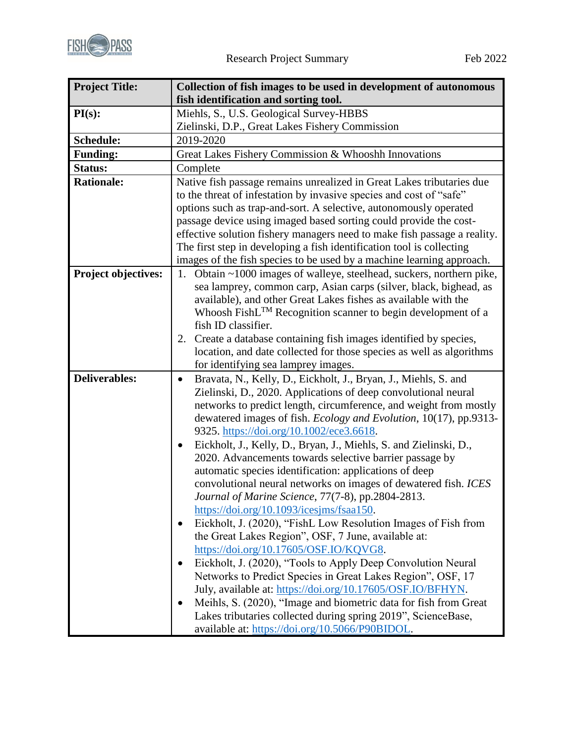

| <b>Project Title:</b>      | Collection of fish images to be used in development of autonomous                                                 |
|----------------------------|-------------------------------------------------------------------------------------------------------------------|
|                            | fish identification and sorting tool.                                                                             |
| PI(s):                     | Miehls, S., U.S. Geological Survey-HBBS                                                                           |
|                            | Zielinski, D.P., Great Lakes Fishery Commission                                                                   |
| Schedule:                  | 2019-2020                                                                                                         |
| <b>Funding:</b>            | Great Lakes Fishery Commission & Whooshh Innovations                                                              |
| <b>Status:</b>             | Complete                                                                                                          |
| <b>Rationale:</b>          | Native fish passage remains unrealized in Great Lakes tributaries due                                             |
|                            | to the threat of infestation by invasive species and cost of "safe"                                               |
|                            | options such as trap-and-sort. A selective, autonomously operated                                                 |
|                            | passage device using imaged based sorting could provide the cost-                                                 |
|                            | effective solution fishery managers need to make fish passage a reality.                                          |
|                            | The first step in developing a fish identification tool is collecting                                             |
|                            | images of the fish species to be used by a machine learning approach.                                             |
| <b>Project objectives:</b> | Obtain ~1000 images of walleye, steelhead, suckers, northern pike,<br>1.                                          |
|                            | sea lamprey, common carp, Asian carps (silver, black, bighead, as                                                 |
|                            | available), and other Great Lakes fishes as available with the                                                    |
|                            | Whoosh FishL <sup>TM</sup> Recognition scanner to begin development of a                                          |
|                            | fish ID classifier.                                                                                               |
|                            | 2. Create a database containing fish images identified by species,                                                |
|                            | location, and date collected for those species as well as algorithms                                              |
|                            | for identifying sea lamprey images.                                                                               |
| <b>Deliverables:</b>       | Bravata, N., Kelly, D., Eickholt, J., Bryan, J., Miehls, S. and<br>$\bullet$                                      |
|                            | Zielinski, D., 2020. Applications of deep convolutional neural                                                    |
|                            | networks to predict length, circumference, and weight from mostly                                                 |
|                            | dewatered images of fish. Ecology and Evolution, 10(17), pp.9313-                                                 |
|                            | 9325. https://doi.org/10.1002/ece3.6618.                                                                          |
|                            | Eickholt, J., Kelly, D., Bryan, J., Miehls, S. and Zielinski, D.,<br>$\bullet$                                    |
|                            | 2020. Advancements towards selective barrier passage by<br>automatic species identification: applications of deep |
|                            | convolutional neural networks on images of dewatered fish. ICES                                                   |
|                            | Journal of Marine Science, 77(7-8), pp.2804-2813                                                                  |
|                            | https://doi.org/10.1093/icesjms/fsaa150.                                                                          |
|                            | Eickholt, J. (2020), "FishL Low Resolution Images of Fish from<br>٠                                               |
|                            | the Great Lakes Region", OSF, 7 June, available at:                                                               |
|                            | https://doi.org/10.17605/OSF.IO/KQVG8.                                                                            |
|                            | Eickholt, J. (2020), "Tools to Apply Deep Convolution Neural<br>$\bullet$                                         |
|                            | Networks to Predict Species in Great Lakes Region", OSF, 17                                                       |
|                            | July, available at: https://doi.org/10.17605/OSF.IO/BFHYN.                                                        |
|                            | Meihls, S. (2020), "Image and biometric data for fish from Great<br>٠                                             |
|                            | Lakes tributaries collected during spring 2019", ScienceBase,                                                     |
|                            | available at: https://doi.org/10.5066/P90BIDOL.                                                                   |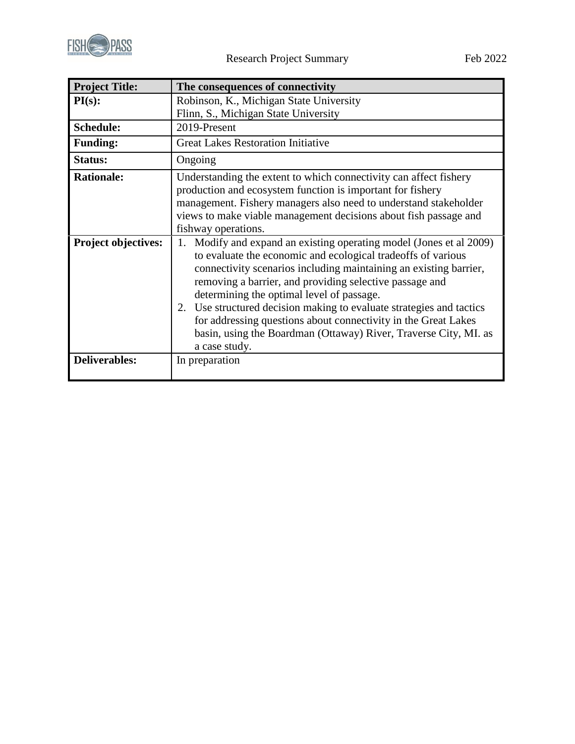

| <b>Project Title:</b>      | The consequences of connectivity                                                                                                                                                                                                                                                                                                                                                                                                                                                                                                                   |
|----------------------------|----------------------------------------------------------------------------------------------------------------------------------------------------------------------------------------------------------------------------------------------------------------------------------------------------------------------------------------------------------------------------------------------------------------------------------------------------------------------------------------------------------------------------------------------------|
| PI(s):                     | Robinson, K., Michigan State University                                                                                                                                                                                                                                                                                                                                                                                                                                                                                                            |
|                            | Flinn, S., Michigan State University                                                                                                                                                                                                                                                                                                                                                                                                                                                                                                               |
| <b>Schedule:</b>           | 2019-Present                                                                                                                                                                                                                                                                                                                                                                                                                                                                                                                                       |
| <b>Funding:</b>            | <b>Great Lakes Restoration Initiative</b>                                                                                                                                                                                                                                                                                                                                                                                                                                                                                                          |
| Status:                    | Ongoing                                                                                                                                                                                                                                                                                                                                                                                                                                                                                                                                            |
| <b>Rationale:</b>          | Understanding the extent to which connectivity can affect fishery<br>production and ecosystem function is important for fishery<br>management. Fishery managers also need to understand stakeholder<br>views to make viable management decisions about fish passage and<br>fishway operations.                                                                                                                                                                                                                                                     |
| <b>Project objectives:</b> | Modify and expand an existing operating model (Jones et al 2009)<br>1.<br>to evaluate the economic and ecological tradeoffs of various<br>connectivity scenarios including maintaining an existing barrier,<br>removing a barrier, and providing selective passage and<br>determining the optimal level of passage.<br>2. Use structured decision making to evaluate strategies and tactics<br>for addressing questions about connectivity in the Great Lakes<br>basin, using the Boardman (Ottaway) River, Traverse City, MI. as<br>a case study. |
| <b>Deliverables:</b>       | In preparation                                                                                                                                                                                                                                                                                                                                                                                                                                                                                                                                     |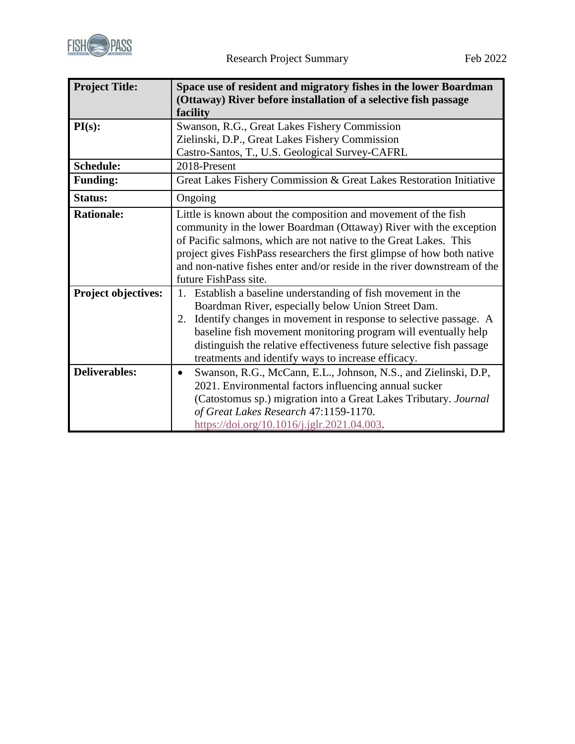

| <b>Project Title:</b>      | Space use of resident and migratory fishes in the lower Boardman<br>(Ottaway) River before installation of a selective fish passage<br>facility                                                                                                                                                                                                                                                  |
|----------------------------|--------------------------------------------------------------------------------------------------------------------------------------------------------------------------------------------------------------------------------------------------------------------------------------------------------------------------------------------------------------------------------------------------|
| PI(s):                     | Swanson, R.G., Great Lakes Fishery Commission                                                                                                                                                                                                                                                                                                                                                    |
|                            | Zielinski, D.P., Great Lakes Fishery Commission<br>Castro-Santos, T., U.S. Geological Survey-CAFRL                                                                                                                                                                                                                                                                                               |
| Schedule:                  | 2018-Present                                                                                                                                                                                                                                                                                                                                                                                     |
| <b>Funding:</b>            | Great Lakes Fishery Commission & Great Lakes Restoration Initiative                                                                                                                                                                                                                                                                                                                              |
| <b>Status:</b>             | Ongoing                                                                                                                                                                                                                                                                                                                                                                                          |
| <b>Rationale:</b>          | Little is known about the composition and movement of the fish<br>community in the lower Boardman (Ottaway) River with the exception<br>of Pacific salmons, which are not native to the Great Lakes. This<br>project gives FishPass researchers the first glimpse of how both native<br>and non-native fishes enter and/or reside in the river downstream of the<br>future FishPass site.        |
| <b>Project objectives:</b> | Establish a baseline understanding of fish movement in the<br>1.<br>Boardman River, especially below Union Street Dam.<br>Identify changes in movement in response to selective passage. A<br>2.<br>baseline fish movement monitoring program will eventually help<br>distinguish the relative effectiveness future selective fish passage<br>treatments and identify ways to increase efficacy. |
| <b>Deliverables:</b>       | Swanson, R.G., McCann, E.L., Johnson, N.S., and Zielinski, D.P,<br>$\bullet$<br>2021. Environmental factors influencing annual sucker<br>(Catostomus sp.) migration into a Great Lakes Tributary. Journal<br>of Great Lakes Research 47:1159-1170.<br>https://doi.org/10.1016/j.jglr.2021.04.003.                                                                                                |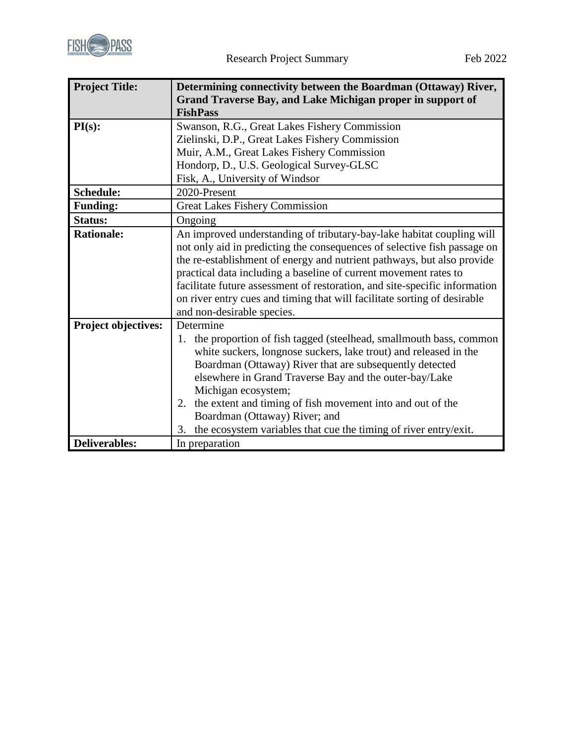

| <b>Project Title:</b>      | Determining connectivity between the Boardman (Ottaway) River,<br>Grand Traverse Bay, and Lake Michigan proper in support of<br><b>FishPass</b>                                                                                                                                                                                                                                                                                                                                         |
|----------------------------|-----------------------------------------------------------------------------------------------------------------------------------------------------------------------------------------------------------------------------------------------------------------------------------------------------------------------------------------------------------------------------------------------------------------------------------------------------------------------------------------|
| PI(s):                     | Swanson, R.G., Great Lakes Fishery Commission<br>Zielinski, D.P., Great Lakes Fishery Commission                                                                                                                                                                                                                                                                                                                                                                                        |
|                            | Muir, A.M., Great Lakes Fishery Commission                                                                                                                                                                                                                                                                                                                                                                                                                                              |
|                            | Hondorp, D., U.S. Geological Survey-GLSC                                                                                                                                                                                                                                                                                                                                                                                                                                                |
|                            | Fisk, A., University of Windsor                                                                                                                                                                                                                                                                                                                                                                                                                                                         |
| Schedule:                  | 2020-Present                                                                                                                                                                                                                                                                                                                                                                                                                                                                            |
| <b>Funding:</b>            | <b>Great Lakes Fishery Commission</b>                                                                                                                                                                                                                                                                                                                                                                                                                                                   |
| <b>Status:</b>             | Ongoing                                                                                                                                                                                                                                                                                                                                                                                                                                                                                 |
| <b>Rationale:</b>          | An improved understanding of tributary-bay-lake habitat coupling will<br>not only aid in predicting the consequences of selective fish passage on<br>the re-establishment of energy and nutrient pathways, but also provide<br>practical data including a baseline of current movement rates to<br>facilitate future assessment of restoration, and site-specific information<br>on river entry cues and timing that will facilitate sorting of desirable<br>and non-desirable species. |
| <b>Project objectives:</b> | Determine<br>the proportion of fish tagged (steelhead, small mouth bass, common<br>1.<br>white suckers, longnose suckers, lake trout) and released in the<br>Boardman (Ottaway) River that are subsequently detected<br>elsewhere in Grand Traverse Bay and the outer-bay/Lake<br>Michigan ecosystem;<br>the extent and timing of fish movement into and out of the<br>2.<br>Boardman (Ottaway) River; and<br>the ecosystem variables that cue the timing of river entry/exit.<br>3.    |
| <b>Deliverables:</b>       | In preparation                                                                                                                                                                                                                                                                                                                                                                                                                                                                          |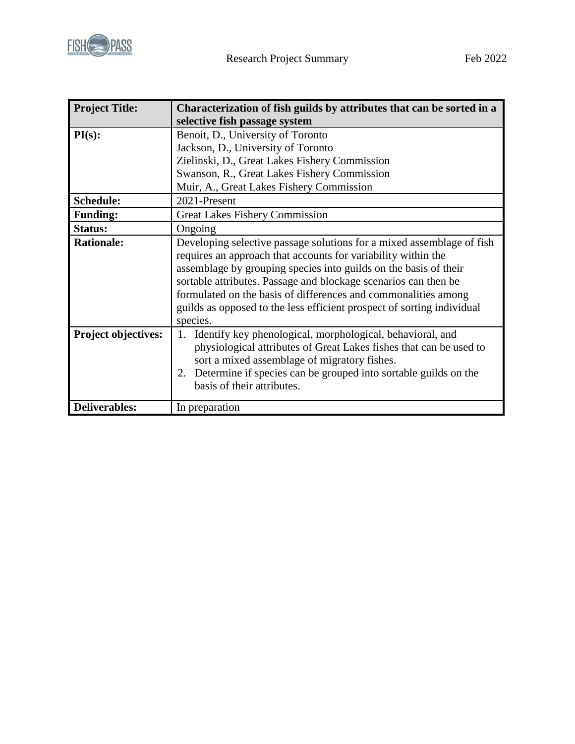

| <b>Project Title:</b>      | Characterization of fish guilds by attributes that can be sorted in a                                                                                                                                                                                                                                                                                                                                                                 |
|----------------------------|---------------------------------------------------------------------------------------------------------------------------------------------------------------------------------------------------------------------------------------------------------------------------------------------------------------------------------------------------------------------------------------------------------------------------------------|
|                            | selective fish passage system                                                                                                                                                                                                                                                                                                                                                                                                         |
| PI(s):                     | Benoit, D., University of Toronto                                                                                                                                                                                                                                                                                                                                                                                                     |
|                            | Jackson, D., University of Toronto                                                                                                                                                                                                                                                                                                                                                                                                    |
|                            | Zielinski, D., Great Lakes Fishery Commission                                                                                                                                                                                                                                                                                                                                                                                         |
|                            | Swanson, R., Great Lakes Fishery Commission                                                                                                                                                                                                                                                                                                                                                                                           |
|                            | Muir, A., Great Lakes Fishery Commission                                                                                                                                                                                                                                                                                                                                                                                              |
| Schedule:                  | 2021-Present                                                                                                                                                                                                                                                                                                                                                                                                                          |
| <b>Funding:</b>            | <b>Great Lakes Fishery Commission</b>                                                                                                                                                                                                                                                                                                                                                                                                 |
| Status:                    | Ongoing                                                                                                                                                                                                                                                                                                                                                                                                                               |
| <b>Rationale:</b>          | Developing selective passage solutions for a mixed assemblage of fish<br>requires an approach that accounts for variability within the<br>assemblage by grouping species into guilds on the basis of their<br>sortable attributes. Passage and blockage scenarios can then be<br>formulated on the basis of differences and commonalities among<br>guilds as opposed to the less efficient prospect of sorting individual<br>species. |
| <b>Project objectives:</b> | 1. Identify key phenological, morphological, behavioral, and<br>physiological attributes of Great Lakes fishes that can be used to<br>sort a mixed assemblage of migratory fishes.<br>Determine if species can be grouped into sortable guilds on the<br>2.<br>basis of their attributes.                                                                                                                                             |
| Deliverables:              | In preparation                                                                                                                                                                                                                                                                                                                                                                                                                        |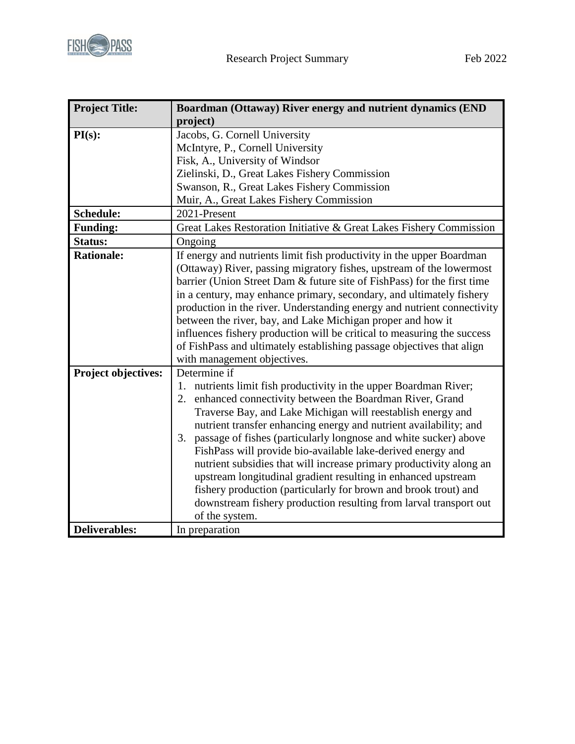

| <b>Project Title:</b> | Boardman (Ottaway) River energy and nutrient dynamics (END              |
|-----------------------|-------------------------------------------------------------------------|
|                       | project)                                                                |
| PI(s):                | Jacobs, G. Cornell University                                           |
|                       | McIntyre, P., Cornell University                                        |
|                       | Fisk, A., University of Windsor                                         |
|                       | Zielinski, D., Great Lakes Fishery Commission                           |
|                       | Swanson, R., Great Lakes Fishery Commission                             |
|                       | Muir, A., Great Lakes Fishery Commission                                |
| Schedule:             | 2021-Present                                                            |
| <b>Funding:</b>       | Great Lakes Restoration Initiative & Great Lakes Fishery Commission     |
| Status:               | Ongoing                                                                 |
| <b>Rationale:</b>     | If energy and nutrients limit fish productivity in the upper Boardman   |
|                       | (Ottaway) River, passing migratory fishes, upstream of the lowermost    |
|                       | barrier (Union Street Dam & future site of FishPass) for the first time |
|                       | in a century, may enhance primary, secondary, and ultimately fishery    |
|                       | production in the river. Understanding energy and nutrient connectivity |
|                       | between the river, bay, and Lake Michigan proper and how it             |
|                       | influences fishery production will be critical to measuring the success |
|                       | of FishPass and ultimately establishing passage objectives that align   |
|                       | with management objectives.                                             |
| Project objectives:   | Determine if                                                            |
|                       | 1. nutrients limit fish productivity in the upper Boardman River;       |
|                       | enhanced connectivity between the Boardman River, Grand<br>2.           |
|                       | Traverse Bay, and Lake Michigan will reestablish energy and             |
|                       | nutrient transfer enhancing energy and nutrient availability; and       |
|                       | 3. passage of fishes (particularly longnose and white sucker) above     |
|                       | FishPass will provide bio-available lake-derived energy and             |
|                       | nutrient subsidies that will increase primary productivity along an     |
|                       | upstream longitudinal gradient resulting in enhanced upstream           |
|                       | fishery production (particularly for brown and brook trout) and         |
|                       | downstream fishery production resulting from larval transport out       |
|                       | of the system.                                                          |
| <b>Deliverables:</b>  | In preparation                                                          |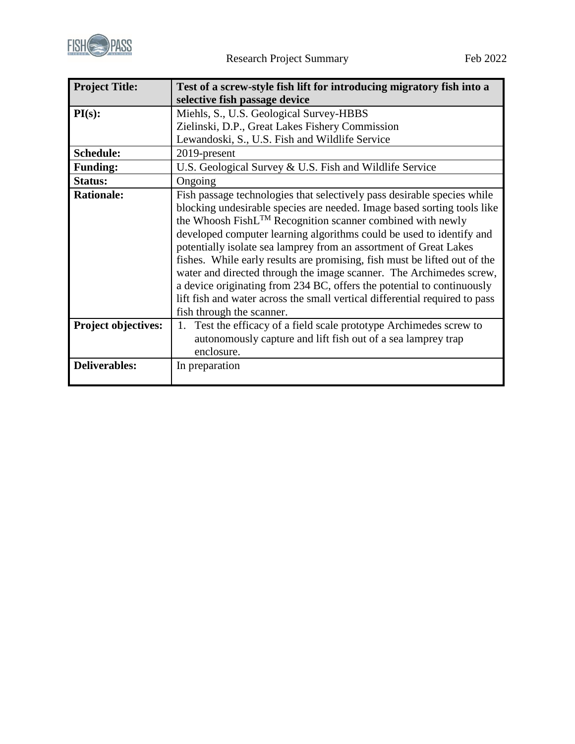

| <b>Project Title:</b>      | Test of a screw-style fish lift for introducing migratory fish into a       |
|----------------------------|-----------------------------------------------------------------------------|
|                            | selective fish passage device                                               |
| PI(s):                     | Miehls, S., U.S. Geological Survey-HBBS                                     |
|                            | Zielinski, D.P., Great Lakes Fishery Commission                             |
|                            | Lewandoski, S., U.S. Fish and Wildlife Service                              |
| <b>Schedule:</b>           | 2019-present                                                                |
| <b>Funding:</b>            | U.S. Geological Survey & U.S. Fish and Wildlife Service                     |
| <b>Status:</b>             | Ongoing                                                                     |
| <b>Rationale:</b>          | Fish passage technologies that selectively pass desirable species while     |
|                            | blocking undesirable species are needed. Image based sorting tools like     |
|                            | the Whoosh FishL™ Recognition scanner combined with newly                   |
|                            | developed computer learning algorithms could be used to identify and        |
|                            | potentially isolate sea lamprey from an assortment of Great Lakes           |
|                            | fishes. While early results are promising, fish must be lifted out of the   |
|                            | water and directed through the image scanner. The Archimedes screw,         |
|                            | a device originating from 234 BC, offers the potential to continuously      |
|                            | lift fish and water across the small vertical differential required to pass |
|                            | fish through the scanner.                                                   |
| <b>Project objectives:</b> | Test the efficacy of a field scale prototype Archimedes screw to<br>1.      |
|                            | autonomously capture and lift fish out of a sea lamprey trap                |
|                            | enclosure.                                                                  |
| <b>Deliverables:</b>       | In preparation                                                              |
|                            |                                                                             |